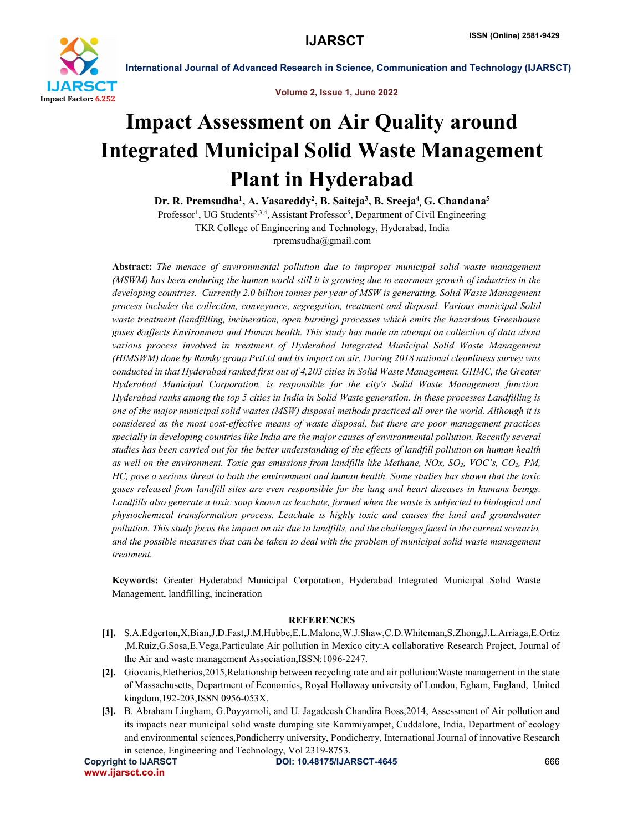

International Journal of Advanced Research in Science, Communication and Technology (IJARSCT)

Volume 2, Issue 1, June 2022

## Impact Assessment on Air Quality around Integrated Municipal Solid Waste Management Plant in Hyderabad

Dr. R. Premsudha<sup>1</sup>, A. Vasareddy<sup>2</sup>, B. Saiteja<sup>3</sup>, B. Sreeja<sup>4</sup>, G. Chandana<sup>5</sup>

Professor<sup>1</sup>, UG Students<sup>2,3,4</sup>, Assistant Professor<sup>5</sup>, Department of Civil Engineering TKR College of Engineering and Technology, Hyderabad, India rpremsudha@gmail.com

Abstract: *The menace of environmental pollution due to improper municipal solid waste management (MSWM) has been enduring the human world still it is growing due to enormous growth of industries in the developing countries. Currently 2.0 billion tonnes per year of MSW is generating. Solid Waste Management process includes the collection, conveyance, segregation, treatment and disposal. Various municipal Solid waste treatment (landfilling, incineration, open burning) processes which emits the hazardous Greenhouse gases &affects Environment and Human health. This study has made an attempt on collection of data about*  various process involved in treatment of Hyderabad Integrated Municipal Solid Waste Management *(HIMSWM) done by Ramky group PvtLtd and its impact on air. During 2018 national cleanliness survey was conducted in that Hyderabad ranked first out of 4,203 cities in Solid Waste Management. GHMC, the Greater Hyderabad Municipal Corporation, is responsible for the city's Solid Waste Management function. Hyderabad ranks among the top 5 cities in India in Solid Waste generation. In these processes Landfilling is one of the major municipal solid wastes (MSW) disposal methods practiced all over the world. Although it is considered as the most cost-effective means of waste disposal, but there are poor management practices specially in developing countries like India are the major causes of environmental pollution. Recently several studies has been carried out for the better understanding of the effects of landfill pollution on human health as well on the environment. Toxic gas emissions from landfills like Methane, NOx, SO2, VOC's, CO2, PM, HC, pose a serious threat to both the environment and human health. Some studies has shown that the toxic gases released from landfill sites are even responsible for the lung and heart diseases in humans beings. Landfills also generate a toxic soup known as leachate, formed when the waste is subjected to biological and physiochemical transformation process. Leachate is highly toxic and causes the land and groundwater pollution. This study focus the impact on air due to landfills, and the challenges faced in the current scenario, and the possible measures that can be taken to deal with the problem of municipal solid waste management treatment.*

Keywords: Greater Hyderabad Municipal Corporation, Hyderabad Integrated Municipal Solid Waste Management, landfilling, incineration

## **REFERENCES**

- [1]. S.A.Edgerton,X.Bian,J.D.Fast,J.M.Hubbe,E.L.Malone,W.J.Shaw,C.D.Whiteman,S.Zhong,J.L.Arriaga,E.Ortiz ,M.Ruiz,G.Sosa,E.Vega,Particulate Air pollution in Mexico city:A collaborative Research Project, Journal of the Air and waste management Association,ISSN:1096-2247.
- [2]. Giovanis,Eletherios,2015,Relationship between recycling rate and air pollution:Waste management in the state of Massachusetts, Department of Economics, Royal Holloway university of London, Egham, England, United kingdom,192-203,ISSN 0956-053X.
- [3]. B. Abraham Lingham, G.Poyyamoli, and U. Jagadeesh Chandira Boss,2014, Assessment of Air pollution and its impacts near municipal solid waste dumping site Kammiyampet, Cuddalore, India, Department of ecology and environmental sciences,Pondicherry university, Pondicherry, International Journal of innovative Research in science, Engineering and Technology, Vol 2319-8753.

www.ijarsct.co.in